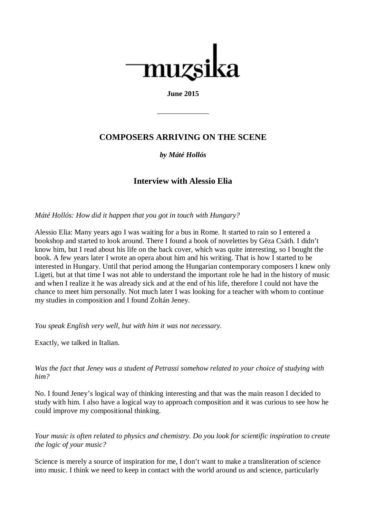

## **June 2015**

\_\_\_\_\_\_\_\_\_\_\_\_\_\_

# **COMPOSERS ARRIVING ON THE SCENE**

## *by Máté Hollós*

## **Interview with Alessio Elia**

*Máté Hollós: How did it happen that you got in touch with Hungary?*

Alessio Elia: Many years ago I was waiting for a bus in Rome. It started to rain so I entered a bookshop and started to look around. There I found a book of novelettes by Géza Csáth. I didn't know him, but I read about his life on the back cover, which was quite interesting, so I bought the book. A few years later I wrote an opera about him and his writing. That is how I started to be interested in Hungary. Until that period among the Hungarian contemporary composers I knew only Ligeti, but at that time I was not able to understand the important role he had in the history of music and when I realize it he was already sick and at the end of his life, therefore I could not have the chance to meet him personally. Not much later I was looking for a teacher with whom to continue my studies in composition and I found Zoltán Jeney.

*You speak English very well, but with him it was not necessary.*

Exactly, we talked in Italian.

*Was the fact that Jeney was a student of Petrassi somehow related to your choice of studying with him?*

No. I found Jeney's logical way of thinking interesting and that was the main reason I decided to study with him. I also have a logical way to approach composition and it was curious to see how he could improve my compositional thinking.

*Your music is often related to physics and chemistry. Do you look for scientific inspiration to create the logic of your music?*

Science is merely a source of inspiration for me, I don't want to make a transliteration of science into music. I think we need to keep in contact with the world around us and science, particularly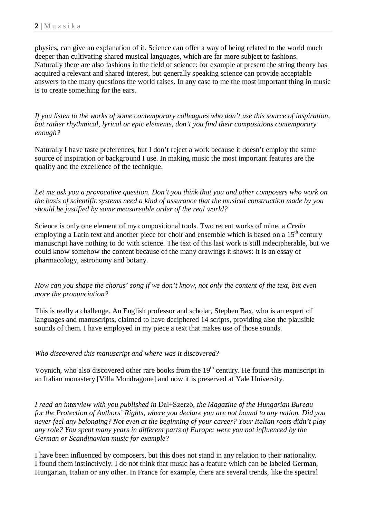physics, can give an explanation of it. Science can offer a way of being related to the world much deeper than cultivating shared musical languages, which are far more subject to fashions. Naturally there are also fashions in the field of science: for example at present the string theory has acquired a relevant and shared interest, but generally speaking science can provide acceptable answers to the many questions the world raises. In any case to me the most important thing in music is to create something for the ears.

*If you listen to the works of some contemporary colleagues who don't use this source of inspiration, but rather rhythmical, lyrical or epic elements, don't you find their compositions contemporary enough?*

Naturally I have taste preferences, but I don't reject a work because it doesn't employ the same source of inspiration or background I use. In making music the most important features are the quality and the excellence of the technique.

*Let me ask you a provocative question. Don't you think that you and other composers who work on the basis of scientific systems need a kind of assurance that the musical construction made by you should be justified by some measureable order of the real world?* 

Science is only one element of my compositional tools. Two recent works of mine, a *Credo* employing a Latin text and another piece for choir and ensemble which is based on a  $15<sup>th</sup>$  century manuscript have nothing to do with science. The text of this last work is still indecipherable, but we could know somehow the content because of the many drawings it shows: it is an essay of pharmacology, astronomy and botany.

*How can you shape the chorus' song if we don't know, not only the content of the text, but even more the pronunciation?* 

This is really a challenge. An English professor and scholar, Stephen Bax, who is an expert of languages and manuscripts, claimed to have deciphered 14 scripts, providing also the plausible sounds of them. I have employed in my piece a text that makes use of those sounds.

### *Who discovered this manuscript and where was it discovered?*

Voynich, who also discovered other rare books from the  $19<sup>th</sup>$  century. He found this manuscript in an Italian monastery [Villa Mondragone] and now it is preserved at Yale University.

*I read an interview with you published in* Dal+Szerző*, the Magazine of the Hungarian Bureau for the Protection of Authors' Rights, where you declare you are not bound to any nation. Did you never feel any belonging? Not even at the beginning of your career? Your Italian roots didn't play any role? You spent many years in different parts of Europe: were you not influenced by the German or Scandinavian music for example?*

I have been influenced by composers, but this does not stand in any relation to their nationality. I found them instinctively. I do not think that music has a feature which can be labeled German, Hungarian, Italian or any other. In France for example, there are several trends, like the spectral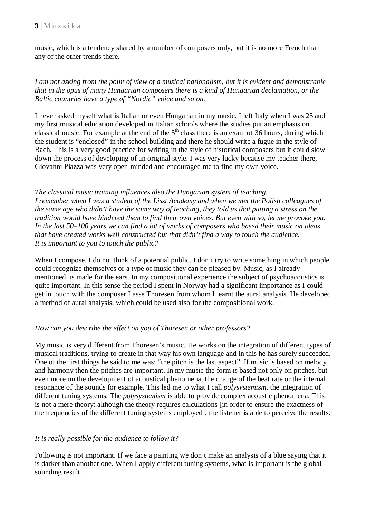music, which is a tendency shared by a number of composers only, but it is no more French than any of the other trends there.

*I am not asking from the point of view of a musical nationalism, but it is evident and demonstrable that in the opus of many Hungarian composers there is a kind of Hungarian declamation, or the Baltic countries have a type of "Nordic" voice and so on.*

I never asked myself what is Italian or even Hungarian in my music. I left Italy when I was 25 and my first musical education developed in Italian schools where the studies put an emphasis on classical music. For example at the end of the  $5<sup>th</sup>$  class there is an exam of 36 hours, during which the student is "enclosed" in the school building and there he should write a fugue in the style of Bach. This is a very good practice for writing in the style of historical composers but it could slow down the process of developing of an original style. I was very lucky because my teacher there, Giovanni Piazza was very open-minded and encouraged me to find my own voice.

#### *The classical music training influences also the Hungarian system of teaching. I remember when I was a student of the Liszt Academy and when we met the Polish colleagues of the same age who didn't have the same way of teaching, they told us that putting a stress on the tradition would have hindered them to find their own voices. But even with so, let me provoke you. In the last 50–100 years we can find a lot of works of composers who based their music on ideas that have created works well constructed but that didn't find a way to touch the audience. It is important to you to touch the public?*

When I compose, I do not think of a potential public. I don't try to write something in which people could recognize themselves or a type of music they can be pleased by. Music, as I already mentioned, is made for the ears. In my compositional experience the subject of psychoacoustics is quite important. In this sense the period I spent in Norway had a significant importance as I could get in touch with the composer Lasse Thoresen from whom I learnt the aural analysis. He developed a method of aural analysis, which could be used also for the compositional work.

### *How can you describe the effect on you of Thoresen or other professors?*

My music is very different from Thoresen's music. He works on the integration of different types of musical traditions, trying to create in that way his own language and in this he has surely succeeded. One of the first things he said to me was: "the pitch is the last aspect". If music is based on melody and harmony then the pitches are important. In my music the form is based not only on pitches, but even more on the development of acoustical phenomena, the change of the beat rate or the internal resonance of the sounds for example. This led me to what I call *polysystemism*, the integration of different tuning systems. The *polysystemism* is able to provide complex acoustic phenomena. This is not a mere theory: although the theory requires calculations [in order to ensure the exactness of the frequencies of the different tuning systems employed], the listener is able to perceive the results.

## *It is really possible for the audience to follow it?*

Following is not important. If we face a painting we don't make an analysis of a blue saying that it is darker than another one. When I apply different tuning systems, what is important is the global sounding result.